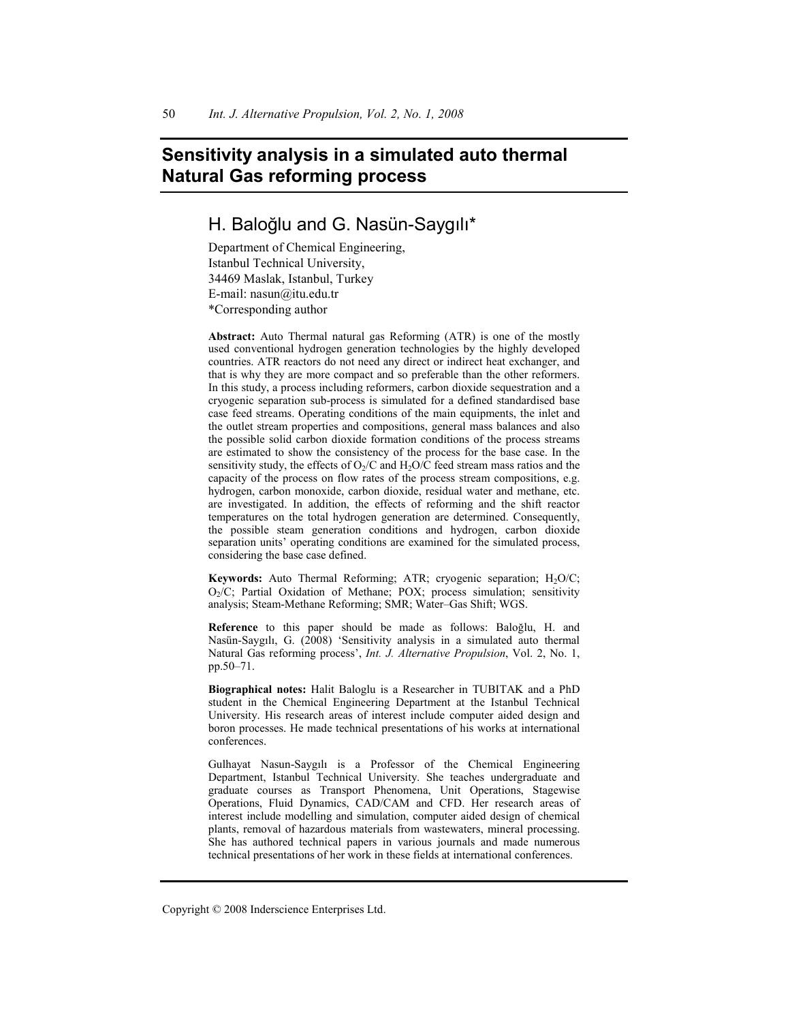# **Sensitivity analysis in a simulated auto thermal Natural Gas reforming process**

## H. Baloğlu and G. Nasün-Saygılı\*

Department of Chemical Engineering, Istanbul Technical University, 34469 Maslak, Istanbul, Turkey E-mail: nasun@itu.edu.tr \*Corresponding author

**Abstract:** Auto Thermal natural gas Reforming (ATR) is one of the mostly used conventional hydrogen generation technologies by the highly developed countries. ATR reactors do not need any direct or indirect heat exchanger, and that is why they are more compact and so preferable than the other reformers. In this study, a process including reformers, carbon dioxide sequestration and a cryogenic separation sub-process is simulated for a defined standardised base case feed streams. Operating conditions of the main equipments, the inlet and the outlet stream properties and compositions, general mass balances and also the possible solid carbon dioxide formation conditions of the process streams are estimated to show the consistency of the process for the base case. In the sensitivity study, the effects of  $O_2/C$  and  $H_2O/C$  feed stream mass ratios and the capacity of the process on flow rates of the process stream compositions, e.g. hydrogen, carbon monoxide, carbon dioxide, residual water and methane, etc. are investigated. In addition, the effects of reforming and the shift reactor temperatures on the total hydrogen generation are determined. Consequently, the possible steam generation conditions and hydrogen, carbon dioxide separation units' operating conditions are examined for the simulated process, considering the base case defined.

**Keywords:** Auto Thermal Reforming; ATR; cryogenic separation; H<sub>2</sub>O/C; O<sub>2</sub>/C; Partial Oxidation of Methane; POX; process simulation; sensitivity analysis; Steam-Methane Reforming; SMR; Water–Gas Shift; WGS.

Reference to this paper should be made as follows: Baloğlu, H. and Nasün-Saygılı, G. (2008) 'Sensitivity analysis in a simulated auto thermal Natural Gas reforming process', *Int. J. Alternative Propulsion*, Vol. 2, No. 1, pp.50–71.

**Biographical notes:** Halit Baloglu is a Researcher in TUBITAK and a PhD student in the Chemical Engineering Department at the Istanbul Technical University. His research areas of interest include computer aided design and boron processes. He made technical presentations of his works at international conferences.

Gulhayat Nasun-Saygılı is a Professor of the Chemical Engineering Department, Istanbul Technical University. She teaches undergraduate and graduate courses as Transport Phenomena, Unit Operations, Stagewise Operations, Fluid Dynamics, CAD/CAM and CFD. Her research areas of interest include modelling and simulation, computer aided design of chemical plants, removal of hazardous materials from wastewaters, mineral processing. She has authored technical papers in various journals and made numerous technical presentations of her work in these fields at international conferences.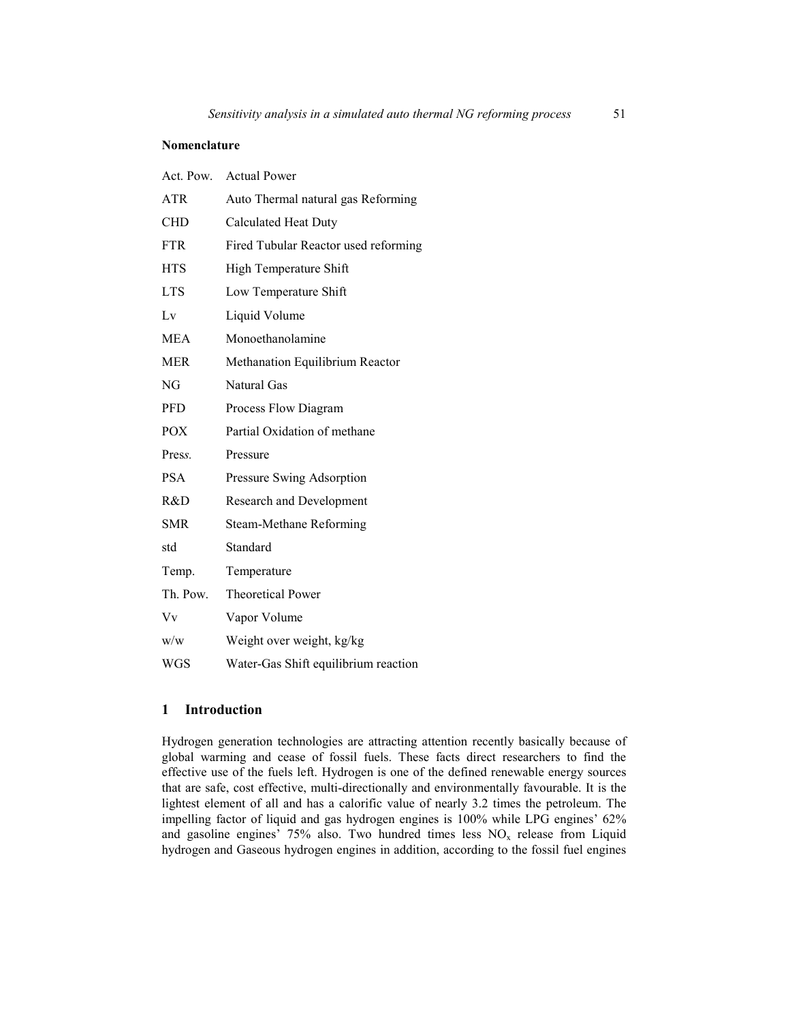#### **Nomenclature**

| Act. Pow.  | <b>Actual Power</b>                  |
|------------|--------------------------------------|
| <b>ATR</b> | Auto Thermal natural gas Reforming   |
| CHD        | <b>Calculated Heat Duty</b>          |
| <b>FTR</b> | Fired Tubular Reactor used reforming |
| <b>HTS</b> | High Temperature Shift               |
| <b>LTS</b> | Low Temperature Shift                |
| Lv         | Liquid Volume                        |
| MEA        | Monoethanolamine                     |
| <b>MER</b> | Methanation Equilibrium Reactor      |
| NG         | Natural Gas                          |
| <b>PFD</b> | Process Flow Diagram                 |
| <b>POX</b> | Partial Oxidation of methane         |
| Press.     | Pressure                             |
| <b>PSA</b> | Pressure Swing Adsorption            |
| R&D        | Research and Development             |
| <b>SMR</b> | Steam-Methane Reforming              |
| std        | Standard                             |
| Temp.      | Temperature                          |
| Th. Pow.   | <b>Theoretical Power</b>             |
| Vv         | Vapor Volume                         |
| W/W        | Weight over weight, kg/kg            |
| <b>WGS</b> | Water-Gas Shift equilibrium reaction |

## **1 Introduction**

Hydrogen generation technologies are attracting attention recently basically because of global warming and cease of fossil fuels. These facts direct researchers to find the effective use of the fuels left. Hydrogen is one of the defined renewable energy sources that are safe, cost effective, multi-directionally and environmentally favourable. It is the lightest element of all and has a calorific value of nearly 3.2 times the petroleum. The impelling factor of liquid and gas hydrogen engines is 100% while LPG engines' 62% and gasoline engines' 75% also. Two hundred times less  $NO<sub>x</sub>$  release from Liquid hydrogen and Gaseous hydrogen engines in addition, according to the fossil fuel engines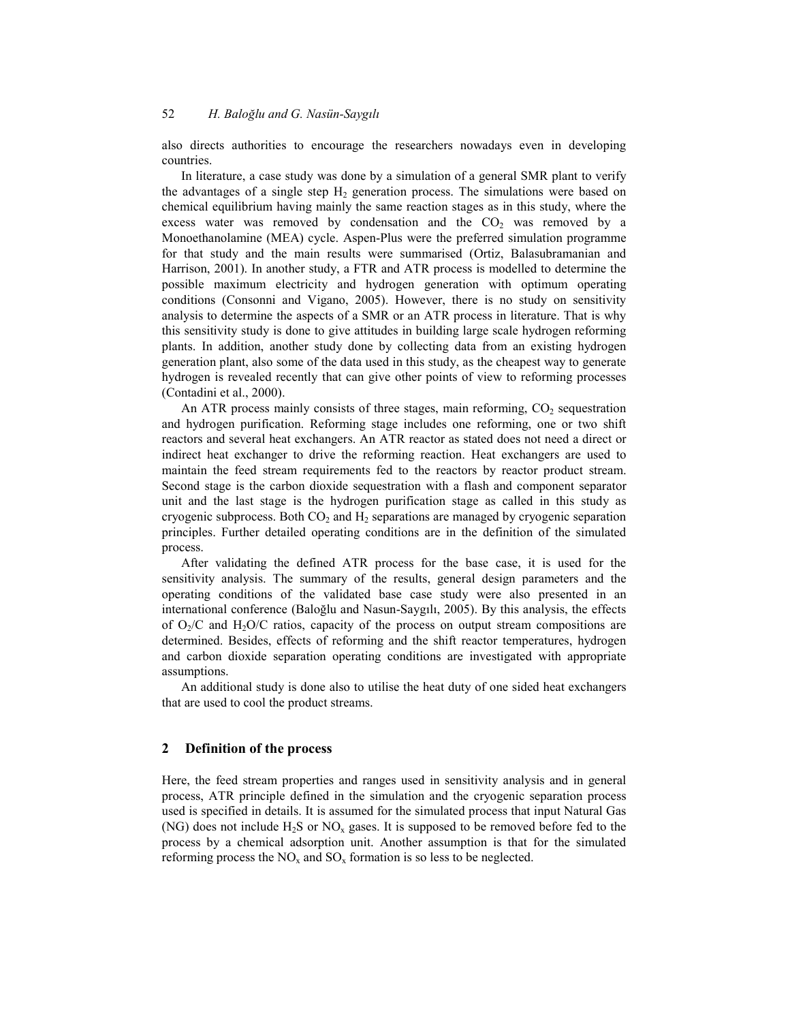also directs authorities to encourage the researchers nowadays even in developing countries.

In literature, a case study was done by a simulation of a general SMR plant to verify the advantages of a single step  $H_2$  generation process. The simulations were based on chemical equilibrium having mainly the same reaction stages as in this study, where the excess water was removed by condensation and the  $CO<sub>2</sub>$  was removed by a Monoethanolamine (MEA) cycle. Aspen-Plus were the preferred simulation programme for that study and the main results were summarised (Ortiz, Balasubramanian and Harrison, 2001). In another study, a FTR and ATR process is modelled to determine the possible maximum electricity and hydrogen generation with optimum operating conditions (Consonni and Vigano, 2005). However, there is no study on sensitivity analysis to determine the aspects of a SMR or an ATR process in literature. That is why this sensitivity study is done to give attitudes in building large scale hydrogen reforming plants. In addition, another study done by collecting data from an existing hydrogen generation plant, also some of the data used in this study, as the cheapest way to generate hydrogen is revealed recently that can give other points of view to reforming processes (Contadini et al., 2000).

An ATR process mainly consists of three stages, main reforming,  $CO<sub>2</sub>$  sequestration and hydrogen purification. Reforming stage includes one reforming, one or two shift reactors and several heat exchangers. An ATR reactor as stated does not need a direct or indirect heat exchanger to drive the reforming reaction. Heat exchangers are used to maintain the feed stream requirements fed to the reactors by reactor product stream. Second stage is the carbon dioxide sequestration with a flash and component separator unit and the last stage is the hydrogen purification stage as called in this study as cryogenic subprocess. Both  $CO<sub>2</sub>$  and  $H<sub>2</sub>$  separations are managed by cryogenic separation principles. Further detailed operating conditions are in the definition of the simulated process.

After validating the defined ATR process for the base case, it is used for the sensitivity analysis. The summary of the results, general design parameters and the operating conditions of the validated base case study were also presented in an international conference (Baloğlu and Nasun-Saygılı, 2005). By this analysis, the effects of  $O_2/C$  and  $H_2O/C$  ratios, capacity of the process on output stream compositions are determined. Besides, effects of reforming and the shift reactor temperatures, hydrogen and carbon dioxide separation operating conditions are investigated with appropriate assumptions.

An additional study is done also to utilise the heat duty of one sided heat exchangers that are used to cool the product streams.

#### **2 Definition of the process**

Here, the feed stream properties and ranges used in sensitivity analysis and in general process, ATR principle defined in the simulation and the cryogenic separation process used is specified in details. It is assumed for the simulated process that input Natural Gas (NG) does not include  $H_2S$  or NO<sub>x</sub> gases. It is supposed to be removed before fed to the process by a chemical adsorption unit. Another assumption is that for the simulated reforming process the  $NO<sub>x</sub>$  and  $SO<sub>x</sub>$  formation is so less to be neglected.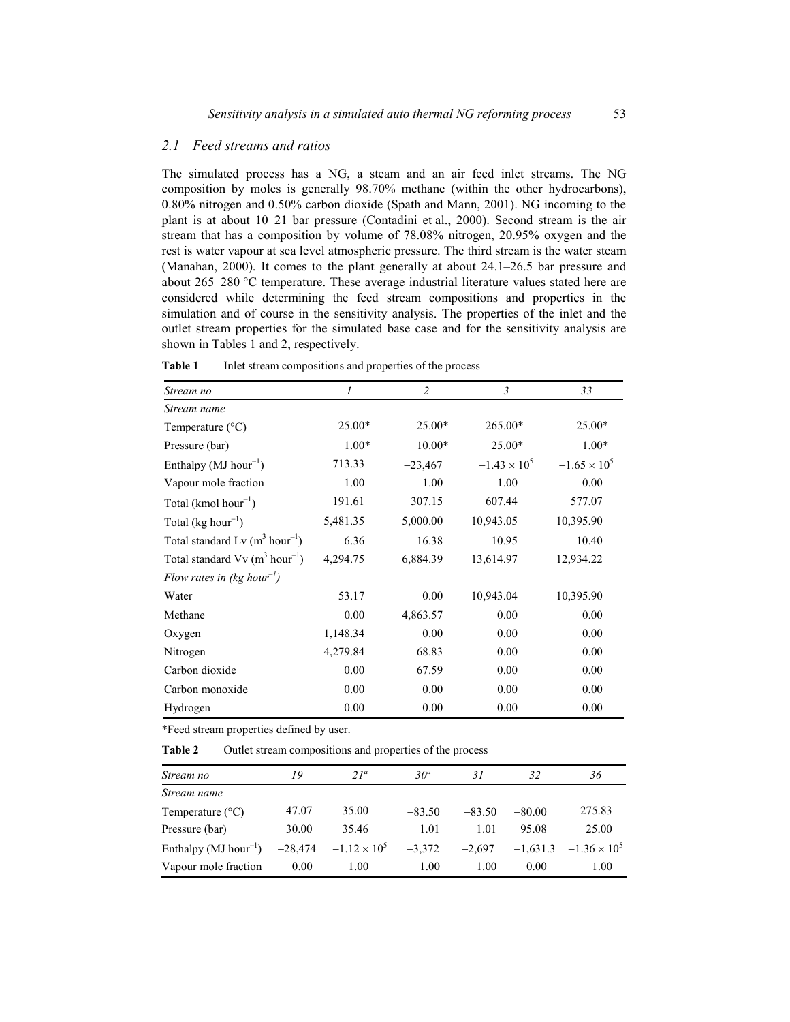#### *2.1 Feed streams and ratios*

The simulated process has a NG, a steam and an air feed inlet streams. The NG composition by moles is generally 98.70% methane (within the other hydrocarbons), 0.80% nitrogen and 0.50% carbon dioxide (Spath and Mann, 2001). NG incoming to the plant is at about 10–21 bar pressure (Contadini et al., 2000). Second stream is the air stream that has a composition by volume of 78.08% nitrogen, 20.95% oxygen and the rest is water vapour at sea level atmospheric pressure. The third stream is the water steam (Manahan, 2000). It comes to the plant generally at about 24.1–26.5 bar pressure and about 265–280  $\degree$ C temperature. These average industrial literature values stated here are considered while determining the feed stream compositions and properties in the simulation and of course in the sensitivity analysis. The properties of the inlet and the outlet stream properties for the simulated base case and for the sensitivity analysis are shown in Tables 1 and 2, respectively.

| Stream no                                                | 1        | $\overline{2}$ | $\mathfrak{Z}$        | 33                    |
|----------------------------------------------------------|----------|----------------|-----------------------|-----------------------|
| Stream name                                              |          |                |                       |                       |
| Temperature $(^{\circ}C)$                                | 25.00*   | 25.00*         | 265.00*               | $25.00*$              |
| Pressure (bar)                                           | $1.00*$  | $10.00*$       | $25.00*$              | $1.00*$               |
| Enthalpy ( $MJ$ hour <sup>-1</sup> )                     | 713.33   | $-23,467$      | $-1.43 \times 10^{5}$ | $-1.65 \times 10^{5}$ |
| Vapour mole fraction                                     | 1.00     | 1.00           | 1.00                  | 0.00                  |
| Total (kmol hour <sup>-1</sup> )                         | 191.61   | 307.15         | 607.44                | 577.07                |
| Total (kg hour <sup>-1</sup> )                           | 5,481.35 | 5,000.00       | 10,943.05             | 10,395.90             |
| Total standard Lv $(m^3 hour^{-1})$                      | 6.36     | 16.38          | 10.95                 | 10.40                 |
| Total standard $Vv$ (m <sup>3</sup> hour <sup>-1</sup> ) | 4,294.75 | 6,884.39       | 13,614.97             | 12,934.22             |
| Flow rates in (kg hour <sup>-1</sup> )                   |          |                |                       |                       |
| Water                                                    | 53.17    | 0.00           | 10,943.04             | 10,395.90             |
| Methane                                                  | 0.00     | 4,863.57       | 0.00                  | 0.00                  |
| Oxygen                                                   | 1,148.34 | 0.00           | 0.00                  | 0.00                  |
| Nitrogen                                                 | 4,279.84 | 68.83          | 0.00                  | 0.00                  |
| Carbon dioxide                                           | 0.00     | 67.59          | 0.00                  | 0.00                  |
| Carbon monoxide                                          | 0.00     | 0.00           | 0.00                  | 0.00                  |
| Hydrogen                                                 | 0.00     | 0.00           | 0.00                  | 0.00                  |

Table 1 Inlet stream compositions and properties of the process

\*Feed stream properties defined by user.

**Table 2** Outlet stream compositions and properties of the process

| Stream no                            | 19        | $21^a$                | 30 <sup>a</sup> | 31       | 32         | 36                    |
|--------------------------------------|-----------|-----------------------|-----------------|----------|------------|-----------------------|
| Stream name                          |           |                       |                 |          |            |                       |
| Temperature $(^{\circ}C)$            | 47.07     | 35.00                 | $-83.50$        | $-83.50$ | $-80.00$   | 275.83                |
| Pressure (bar)                       | 30.00     | 35.46                 | 1.01            | 1.01     | 95.08      | 25.00                 |
| Enthalpy ( $MJ$ hour <sup>-1</sup> ) | $-28,474$ | $-1.12 \times 10^{5}$ | $-3.372$        | $-2.697$ | $-1.631.3$ | $-1.36 \times 10^{5}$ |
| Vapour mole fraction                 | 0.00      | 1.00                  | 1.00            | 1.00     | 0.00       | 1.00                  |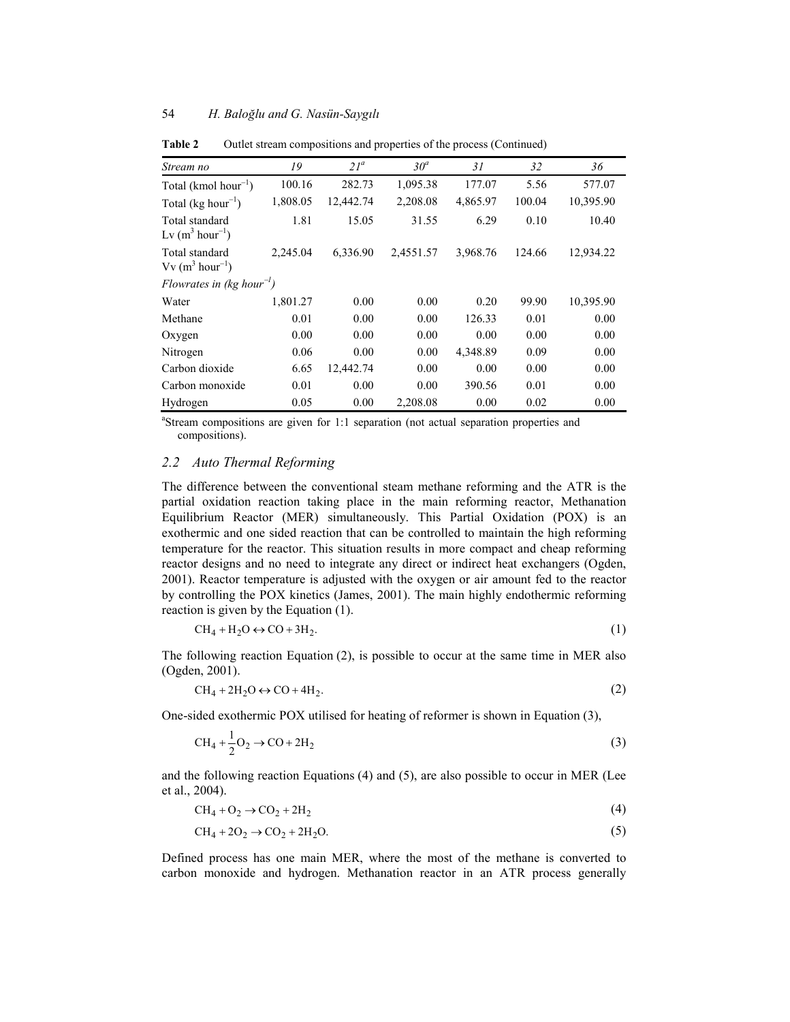| Stream no                              | 19       | $21^a$    | $30^a$    | 31       | 32     | 36        |
|----------------------------------------|----------|-----------|-----------|----------|--------|-----------|
| Total (kmol hour <sup>-1</sup> )       | 100.16   | 282.73    | 1,095.38  | 177.07   | 5.56   | 577.07    |
| Total ( $kg hour^{-1}$ )               | 1,808.05 | 12,442.74 | 2,208.08  | 4,865.97 | 100.04 | 10,395.90 |
| Total standard<br>Lv $(m^3 hour^{-1})$ | 1.81     | 15.05     | 31.55     | 6.29     | 0.10   | 10.40     |
| Total standard<br>$Vv (m^3 hour^{-1})$ | 2,245.04 | 6,336.90  | 2,4551.57 | 3,968.76 | 124.66 | 12,934.22 |
| Flowrates in (kg hour <sup>-1</sup> )  |          |           |           |          |        |           |
| Water                                  | 1,801.27 | 0.00      | 0.00      | 0.20     | 99.90  | 10,395.90 |
| Methane                                | 0.01     | 0.00      | 0.00      | 126.33   | 0.01   | 0.00      |
| Oxygen                                 | 0.00     | 0.00      | 0.00      | 0.00     | 0.00   | 0.00      |
| Nitrogen                               | 0.06     | 0.00      | 0.00      | 4,348.89 | 0.09   | 0.00      |
| Carbon dioxide                         | 6.65     | 12,442.74 | 0.00      | 0.00     | 0.00   | 0.00      |
| Carbon monoxide                        | 0.01     | 0.00      | 0.00      | 390.56   | 0.01   | 0.00      |
| Hydrogen                               | 0.05     | 0.00      | 2,208.08  | 0.00     | 0.02   | 0.00      |

**Table 2** Outlet stream compositions and properties of the process (Continued)

<sup>a</sup>Stream compositions are given for 1:1 separation (not actual separation properties and compositions).

## *2.2 Auto Thermal Reforming*

The difference between the conventional steam methane reforming and the ATR is the partial oxidation reaction taking place in the main reforming reactor, Methanation Equilibrium Reactor (MER) simultaneously. This Partial Oxidation (POX) is an exothermic and one sided reaction that can be controlled to maintain the high reforming temperature for the reactor. This situation results in more compact and cheap reforming reactor designs and no need to integrate any direct or indirect heat exchangers (Ogden, 2001). Reactor temperature is adjusted with the oxygen or air amount fed to the reactor by controlling the POX kinetics (James, 2001). The main highly endothermic reforming reaction is given by the Equation (1).

$$
CH_4 + H_2O \leftrightarrow CO + 3H_2. \tag{1}
$$

The following reaction Equation (2), is possible to occur at the same time in MER also (Ogden, 2001).

$$
CH_4 + 2H_2O \leftrightarrow CO + 4H_2.
$$
 (2)

One-sided exothermic POX utilised for heating of reformer is shown in Equation (3),

$$
CH_4 + \frac{1}{2}O_2 \rightarrow CO + 2H_2
$$
\n
$$
\tag{3}
$$

and the following reaction Equations (4) and (5), are also possible to occur in MER (Lee et al., 2004).

$$
CH_4 + O_2 \rightarrow CO_2 + 2H_2 \tag{4}
$$

$$
CH_4 + 2O_2 \rightarrow CO_2 + 2H_2O. \tag{5}
$$

Defined process has one main MER, where the most of the methane is converted to carbon monoxide and hydrogen. Methanation reactor in an ATR process generally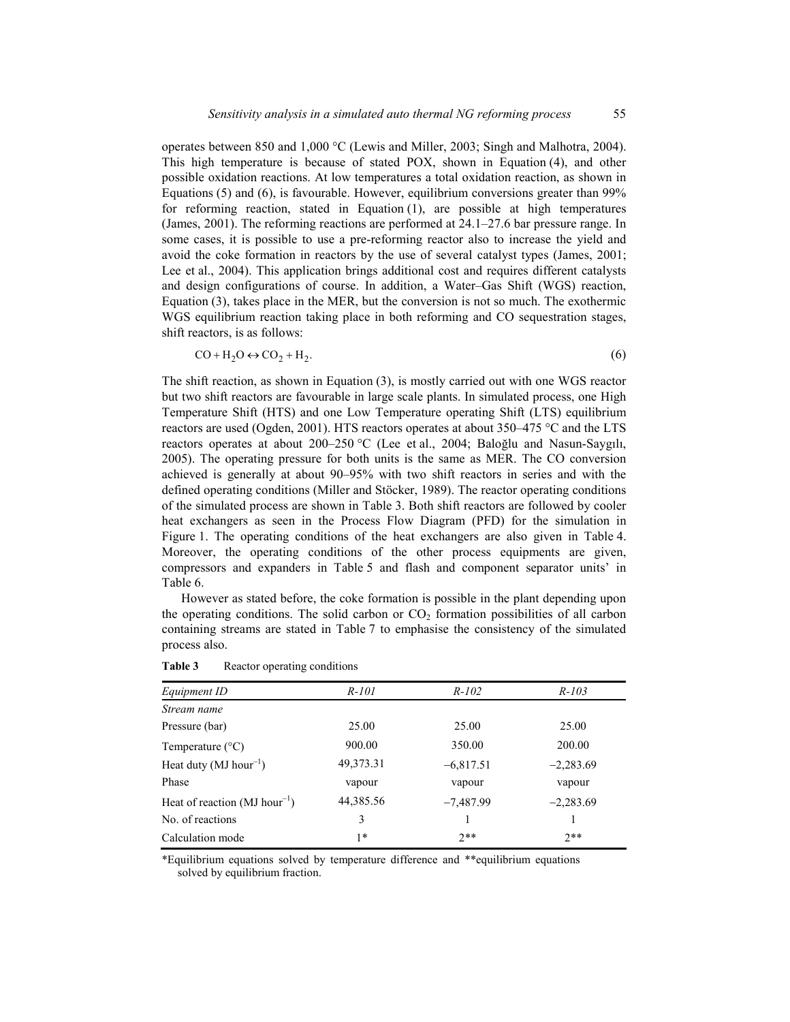operates between 850 and 1,000 °C (Lewis and Miller, 2003; Singh and Malhotra, 2004). This high temperature is because of stated POX, shown in Equation (4), and other possible oxidation reactions. At low temperatures a total oxidation reaction, as shown in Equations (5) and (6), is favourable. However, equilibrium conversions greater than 99% for reforming reaction, stated in Equation (1), are possible at high temperatures (James, 2001). The reforming reactions are performed at 24.1–27.6 bar pressure range. In some cases, it is possible to use a pre-reforming reactor also to increase the yield and avoid the coke formation in reactors by the use of several catalyst types (James, 2001; Lee et al., 2004). This application brings additional cost and requires different catalysts and design configurations of course. In addition, a Water–Gas Shift (WGS) reaction, Equation (3), takes place in the MER, but the conversion is not so much. The exothermic WGS equilibrium reaction taking place in both reforming and CO sequestration stages, shift reactors, is as follows:

$$
CO + H2O \leftrightarrow CO2 + H2.
$$
\n(6)

The shift reaction, as shown in Equation (3), is mostly carried out with one WGS reactor but two shift reactors are favourable in large scale plants. In simulated process, one High Temperature Shift (HTS) and one Low Temperature operating Shift (LTS) equilibrium reactors are used (Ogden, 2001). HTS reactors operates at about 350–475 °C and the LTS reactors operates at about 200–250 °C (Lee et al., 2004; Baloğlu and Nasun-Saygılı, 2005). The operating pressure for both units is the same as MER. The CO conversion achieved is generally at about 90–95% with two shift reactors in series and with the defined operating conditions (Miller and Stöcker, 1989). The reactor operating conditions of the simulated process are shown in Table 3. Both shift reactors are followed by cooler heat exchangers as seen in the Process Flow Diagram (PFD) for the simulation in Figure 1. The operating conditions of the heat exchangers are also given in Table 4. Moreover, the operating conditions of the other process equipments are given, compressors and expanders in Table 5 and flash and component separator units' in Table 6.

However as stated before, the coke formation is possible in the plant depending upon the operating conditions. The solid carbon or  $CO<sub>2</sub>$  formation possibilities of all carbon containing streams are stated in Table 7 to emphasise the consistency of the simulated process also.

| Equipment ID                                 | $R-101$     | $R-102$     | $R - 103$   |
|----------------------------------------------|-------------|-------------|-------------|
| Stream name                                  |             |             |             |
| Pressure (bar)                               | 25.00       | 25.00       | 25.00       |
| Temperature $(^{\circ}C)$                    | 900.00      | 350.00      | 200.00      |
| Heat duty (MJ hour <sup>-1</sup> )           | 49, 373. 31 | $-6,817.51$ | $-2,283.69$ |
| Phase                                        | vapour      | vapour      | vapour      |
| Heat of reaction ( $MJ$ hour <sup>-1</sup> ) | 44,385.56   | $-7,487.99$ | $-2,283.69$ |
| No. of reactions                             | 3           |             |             |
| Calculation mode                             | $1*$        | $7**$       | $2**$       |

Table 3 Reactor operating conditions

\*Equilibrium equations solved by temperature difference and \*\*equilibrium equations solved by equilibrium fraction.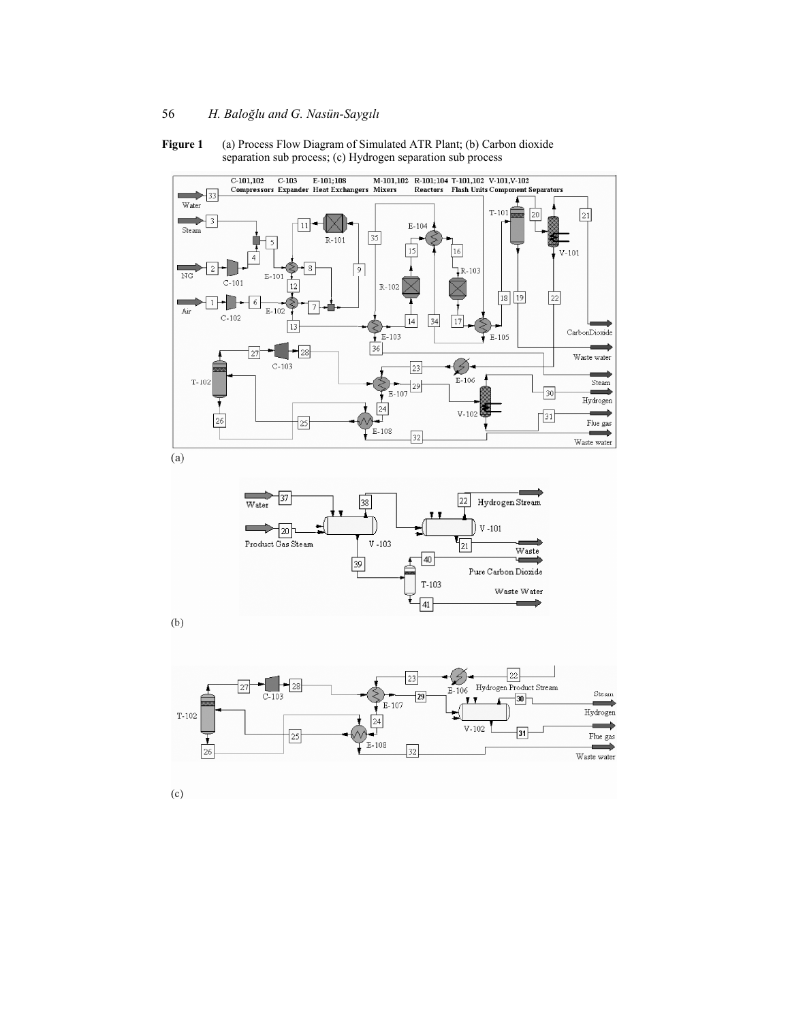

**Figure 1** (a) Process Flow Diagram of Simulated ATR Plant; (b) Carbon dioxide separation sub process; (c) Hydrogen separation sub process

 $(a)$ 



 $(b)$ 



 $(c)$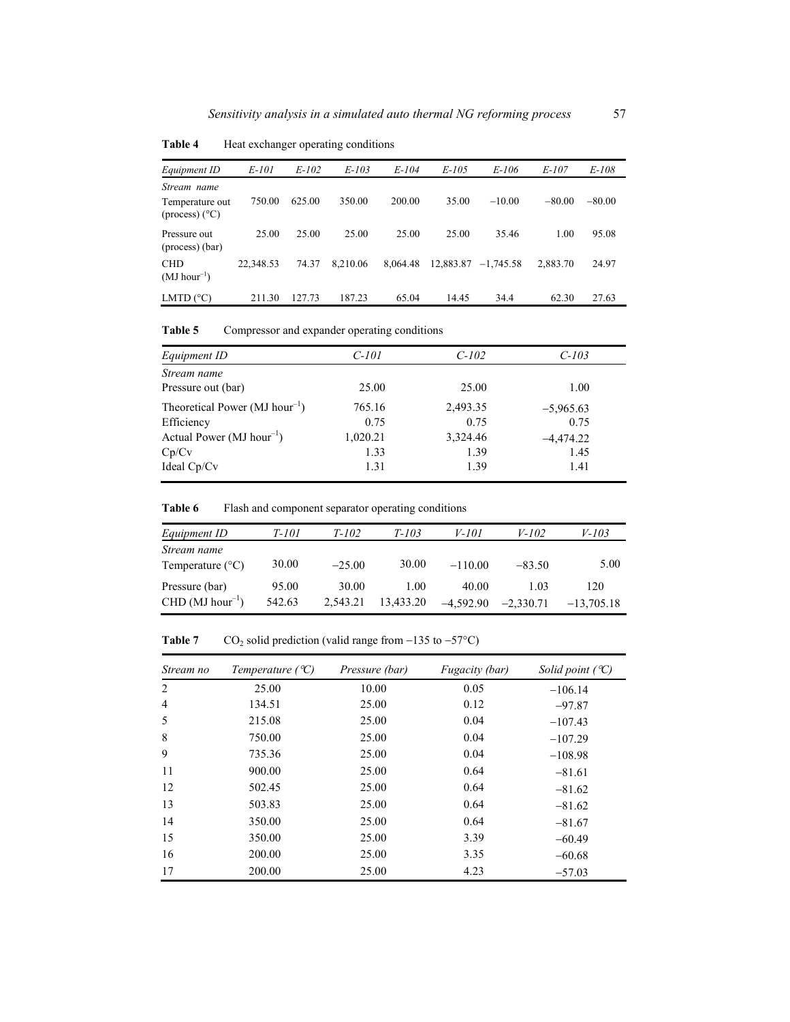| Equipment ID                                              | E-101     | $E-102$ | $E-103$  | $E-104$  | $E-105$   | E-106       | E-107    | E-108    |
|-----------------------------------------------------------|-----------|---------|----------|----------|-----------|-------------|----------|----------|
| Stream name<br>Temperature out<br>$(\text{process})$ (°C) | 750.00    | 625.00  | 350.00   | 200.00   | 35.00     | $-10.00$    | $-80.00$ | $-80.00$ |
| Pressure out<br>(process) (bar)                           | 25.00     | 25.00   | 25.00    | 25.00    | 25.00     | 35.46       | 1.00     | 95.08    |
| <b>CHD</b><br>$(MJ hour^{-1})$                            | 22.348.53 | 74.37   | 8,210.06 | 8.064.48 | 12,883.87 | $-1.745.58$ | 2,883.70 | 24.97    |
| LMTD $(^{\circ}C)$                                        | 211.30    | 127.73  | 187.23   | 65.04    | 14.45     | 34.4        | 62.30    | 27.63    |

**Table 4** Heat exchanger operating conditions

Table 5 Compressor and expander operating conditions

| Equipment ID                                  | C-101    | $C-102$  | $C-103$     |
|-----------------------------------------------|----------|----------|-------------|
| Stream name                                   |          |          |             |
| Pressure out (bar)                            | 25.00    | 25.00    | 1.00        |
| Theoretical Power ( $MJ$ hour <sup>-1</sup> ) | 765.16   | 2,493.35 | $-5.965.63$ |
| Efficiency                                    | 0.75     | 0.75     | 0.75        |
| Actual Power ( $MJ$ hour <sup>-1</sup> )      | 1,020.21 | 3,324.46 | $-4,474,22$ |
| Cp/Cv                                         | 1.33     | 1.39     | 1.45        |
| Ideal $Cp/Cv$                                 | 1.31     | 1.39     | 1.41        |
|                                               |          |          |             |

**Table 6** Flash and component separator operating conditions

| Equipment ID                             | <i>T-101</i>    | $T-102$           | $T-103$           | V-101                | $V - 102$           | V-103               |
|------------------------------------------|-----------------|-------------------|-------------------|----------------------|---------------------|---------------------|
| Stream name<br>Temperature $(^{\circ}C)$ | 30.00           | $-25.00$          | 30.00             | $-110.00$            | $-83.50$            | 5.00                |
| Pressure (bar)<br>$CHD (MJ hour^{-1})$   | 95.00<br>542.63 | 30.00<br>2,543.21 | 1.00<br>13,433.20 | 40.00<br>$-4.592.90$ | 1 03<br>$-2.330.71$ | 120<br>$-13.705.18$ |

**Table 7** CO<sub>2</sub> solid prediction (valid range from  $-135$  to  $-57^{\circ}$ C)

| Stream no      | Temperature $({}^{\circ}C)$ | Pressure (bar) | Fugacity (bar) | Solid point $({}^{\circ}C)$ |
|----------------|-----------------------------|----------------|----------------|-----------------------------|
| 2              | 25.00                       | 10.00          | 0.05           | $-106.14$                   |
| $\overline{4}$ | 134.51                      | 25.00          | 0.12           | $-97.87$                    |
| 5              | 215.08                      | 25.00          | 0.04           | $-107.43$                   |
| 8              | 750.00                      | 25.00          | 0.04           | $-107.29$                   |
| 9              | 735.36                      | 25.00          | 0.04           | $-108.98$                   |
| 11             | 900.00                      | 25.00          | 0.64           | $-81.61$                    |
| 12             | 502.45                      | 25.00          | 0.64           | $-81.62$                    |
| 13             | 503.83                      | 25.00          | 0.64           | $-81.62$                    |
| 14             | 350.00                      | 25.00          | 0.64           | $-81.67$                    |
| 15             | 350.00                      | 25.00          | 3.39           | $-60.49$                    |
| 16             | 200.00                      | 25.00          | 3.35           | $-60.68$                    |
| 17             | 200.00                      | 25.00          | 4.23           | $-57.03$                    |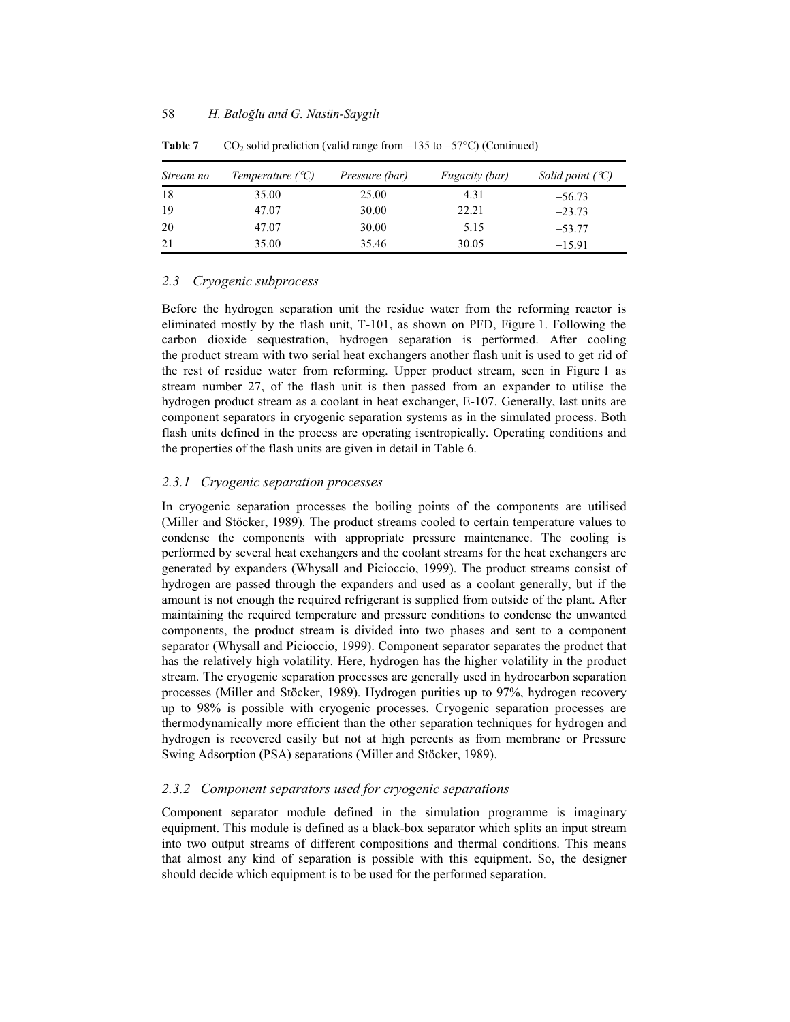| Stream no | Temperature $({}^{\circ}C)$ | Pressure (bar) | Fugacity (bar) | Solid point $({}^{\circ}C)$ |
|-----------|-----------------------------|----------------|----------------|-----------------------------|
| 18        | 35.00                       | 25.00          | 4.31           | $-56.73$                    |
| 19        | 47.07                       | 30.00          | 22.21          | $-23.73$                    |
| -20       | 47.07                       | 30.00          | 5.15           | $-53.77$                    |
| 21        | 35.00                       | 35.46          | 30.05          | $-15.91$                    |

**Table 7** CO<sub>2</sub> solid prediction (valid range from  $-135$  to  $-57^{\circ}$ C) (Continued)

## *2.3 Cryogenic subprocess*

Before the hydrogen separation unit the residue water from the reforming reactor is eliminated mostly by the flash unit, T-101, as shown on PFD, Figure 1. Following the carbon dioxide sequestration, hydrogen separation is performed. After cooling the product stream with two serial heat exchangers another flash unit is used to get rid of the rest of residue water from reforming. Upper product stream, seen in Figure 1 as stream number 27, of the flash unit is then passed from an expander to utilise the hydrogen product stream as a coolant in heat exchanger, E-107. Generally, last units are component separators in cryogenic separation systems as in the simulated process. Both flash units defined in the process are operating isentropically. Operating conditions and the properties of the flash units are given in detail in Table 6.

### *2.3.1 Cryogenic separation processes*

In cryogenic separation processes the boiling points of the components are utilised (Miller and Stöcker, 1989). The product streams cooled to certain temperature values to condense the components with appropriate pressure maintenance. The cooling is performed by several heat exchangers and the coolant streams for the heat exchangers are generated by expanders (Whysall and Picioccio, 1999). The product streams consist of hydrogen are passed through the expanders and used as a coolant generally, but if the amount is not enough the required refrigerant is supplied from outside of the plant. After maintaining the required temperature and pressure conditions to condense the unwanted components, the product stream is divided into two phases and sent to a component separator (Whysall and Picioccio, 1999). Component separator separates the product that has the relatively high volatility. Here, hydrogen has the higher volatility in the product stream. The cryogenic separation processes are generally used in hydrocarbon separation processes (Miller and Stöcker, 1989). Hydrogen purities up to 97%, hydrogen recovery up to 98% is possible with cryogenic processes. Cryogenic separation processes are thermodynamically more efficient than the other separation techniques for hydrogen and hydrogen is recovered easily but not at high percents as from membrane or Pressure Swing Adsorption (PSA) separations (Miller and Stöcker, 1989).

#### *2.3.2 Component separators used for cryogenic separations*

Component separator module defined in the simulation programme is imaginary equipment. This module is defined as a black-box separator which splits an input stream into two output streams of different compositions and thermal conditions. This means that almost any kind of separation is possible with this equipment. So, the designer should decide which equipment is to be used for the performed separation.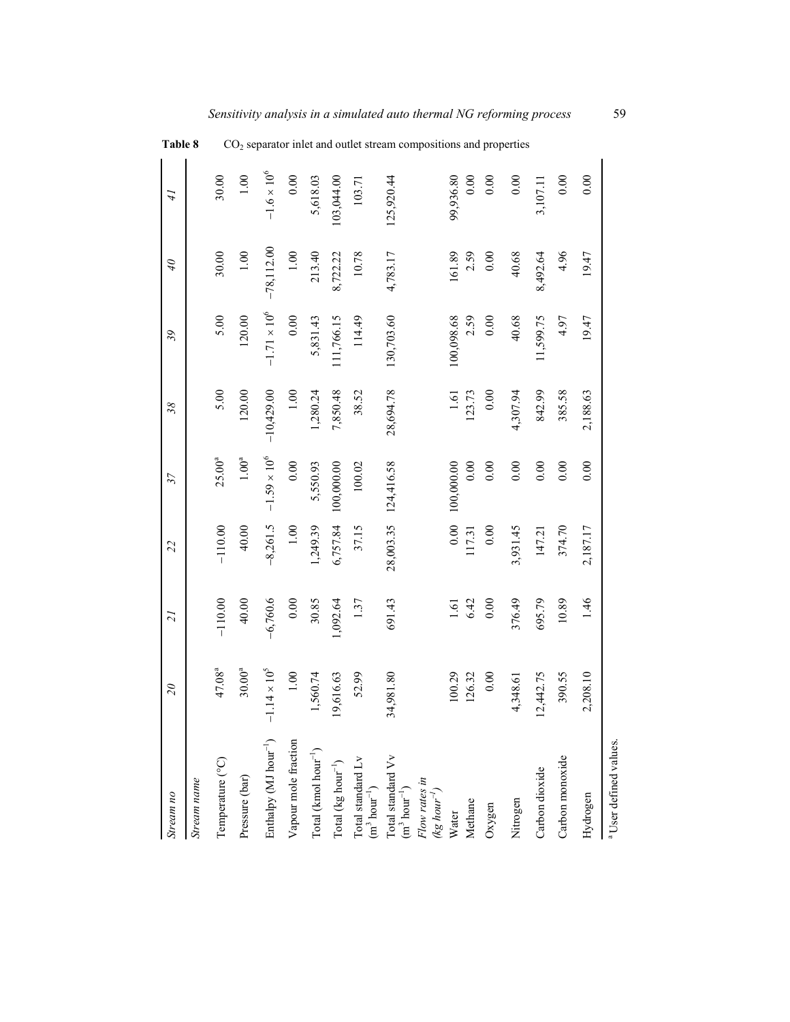| Stream no                                                                                 | $\overline{\mathcal{L}}$ | $\overline{21}$ | 22         | 37                    | 38           | 39                    | $\partial t$ | $\ddot{t}$           | Table 8                                                                       |
|-------------------------------------------------------------------------------------------|--------------------------|-----------------|------------|-----------------------|--------------|-----------------------|--------------|----------------------|-------------------------------------------------------------------------------|
| Stream name                                                                               |                          |                 |            |                       |              |                       |              |                      |                                                                               |
| Temperature (°C)                                                                          | $47.08^{a}$              | $-110.00$       | $-110.00$  | $25.00^{a}$           | 5.00         | 5.00                  | 30.00        | 30.00                |                                                                               |
| Pressure (bar)                                                                            | $30.00^{a}$              | 40.00           | 40.00      | $1.00^{\rm a}$        | 120.00       | 120.00                | $1.00\,$     | $1.00\,$             |                                                                               |
| Enthalpy (MJ hour <sup>-1</sup> )                                                         | $1.14\times10^5$         | $-6,760.6$      | $-8,261.5$ | $-1.59 \times 10^{6}$ | $-10,429.00$ | $-1.71 \times 10^{6}$ | $-78,112.00$ | $-1.6 \times 10^{6}$ |                                                                               |
| Vapour mole fraction                                                                      | $1.00\,$                 | $0.00\,$        | $1.00\,$   | $0.00\,$              | $1.00\,$     | $0.00\,$              | $1.00\,$     | $0.00\,$             |                                                                               |
| $\mbox{Total}$ (kmol $\mbox{hour}^{-1})$                                                  | 1,560.74                 | 30.85           | 1,249.39   | 5,550.93              | 1,280.24     | 5,831.43              | 213.40       | 5,618.03             |                                                                               |
| $\mbox{Total}$ (kg $\mbox{hour}^{-1})$                                                    | 9,616.63                 | 1,092.64        | 6,757.84   | 100,000.00            | 7,850.48     | 11,766.15             | 8,722.22     | 103,044.00           |                                                                               |
| Total standard Lv $(m^3 hour^{-1})$                                                       | 52.99                    | 1.37            | 37.15      | 100.02                | 38.52        | 114.49                | 10.78        | 103.71               | CO <sub>2</sub> separator inlet and outlet stream compositions and properties |
| $\begin{array}{c} \text{Total standard Vv} \\ \text{(m}^3 \text{ hour}^{-1}) \end{array}$ | 34,981.80                | 691.43          | 28,003.35  | 124,416.58            | 28,694.78    | 130,703.60            | 4,783.17     | 125,920.44           |                                                                               |
| Flow rates in<br>(kg hour <sup>-1</sup> )                                                 |                          |                 |            |                       |              |                       |              |                      |                                                                               |
| Water                                                                                     | 100.29                   |                 | 0.00       | 100,000.00            | $1.61\,$     | 100,098.68            | 161.89       | 99,936.80            |                                                                               |
| Methane                                                                                   | 126.32                   | $1.61$<br>6.42  | 117.31     | 0.00                  | 123.73       | 2.59                  | 2.59         | 0.00                 |                                                                               |
| Oxygen                                                                                    | 0.00                     | $0.00\,$        | 0.00       | $0.00\,$              | 0.00         | 0.00                  | $0.00\,$     | $0.00\,$             |                                                                               |
| Nitrogen                                                                                  | 4,348.61                 | 376.49          | 3,931.45   | 0.00                  | 4,307.94     | 40.68                 | 40.68        | $0.00\,$             |                                                                               |
| Carbon dioxide                                                                            | 12,442.75                | 695.79          | 147.21     | 0.00                  | 842.99       | 11,599.75             | 8,492.64     | 3,107.11             |                                                                               |
| Carbon monoxide                                                                           | 390.55                   | 10.89           | 374.70     | 0.00                  | 385.58       | 4.97                  | 4.96         | $0.00\,$             |                                                                               |
| Hydrogen                                                                                  | 2,208.10                 | 1.46            | 2,187.17   | 0.00                  | 2,188.63     | 19.47                 | 19.47        | 0.00                 |                                                                               |
| <sup>a</sup> User defined values.                                                         |                          |                 |            |                       |              |                       |              |                      |                                                                               |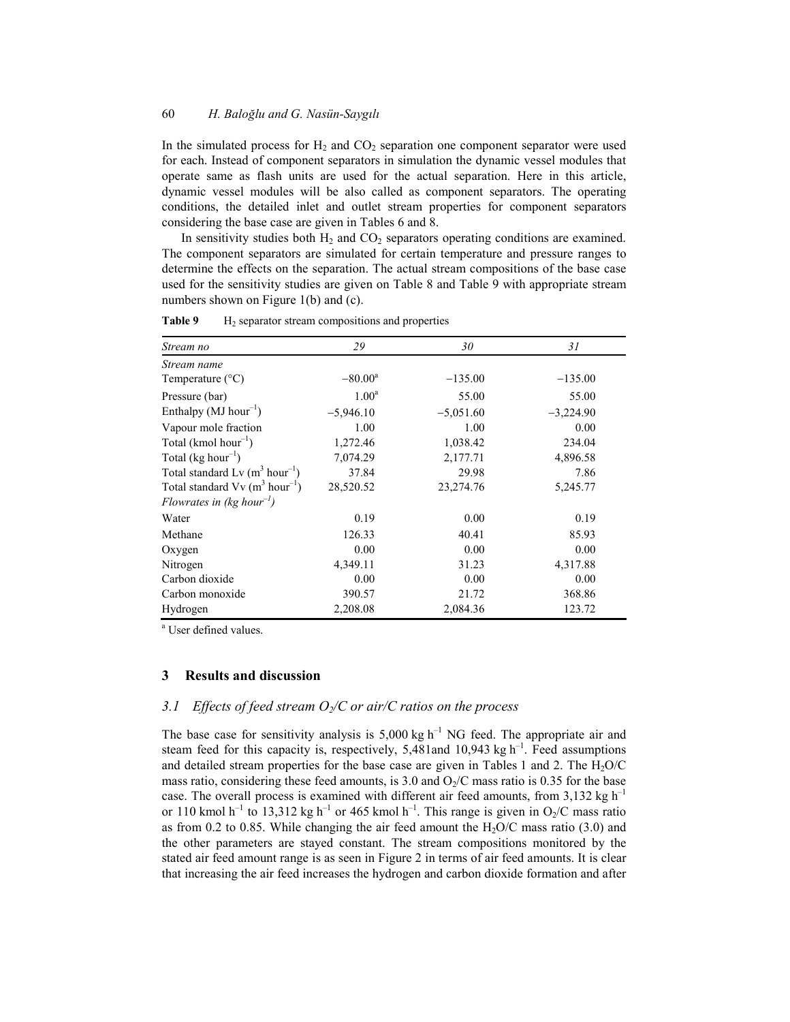In the simulated process for  $H_2$  and  $CO_2$  separation one component separator were used for each. Instead of component separators in simulation the dynamic vessel modules that operate same as flash units are used for the actual separation. Here in this article, dynamic vessel modules will be also called as component separators. The operating conditions, the detailed inlet and outlet stream properties for component separators considering the base case are given in Tables 6 and 8.

In sensitivity studies both  $H_2$  and  $CO_2$  separators operating conditions are examined. The component separators are simulated for certain temperature and pressure ranges to determine the effects on the separation. The actual stream compositions of the base case used for the sensitivity studies are given on Table 8 and Table 9 with appropriate stream numbers shown on Figure 1(b) and (c).

| Stream no                                                | 29               | 30          | 31          |
|----------------------------------------------------------|------------------|-------------|-------------|
| Stream name                                              |                  |             |             |
| Temperature $(^{\circ}C)$                                | $-80.00^{\rm a}$ | $-135.00$   | $-135.00$   |
| Pressure (bar)                                           | $1.00^{\rm a}$   | 55.00       | 55.00       |
| Enthalpy $(MJ hour^{-1})$                                | $-5,946.10$      | $-5,051.60$ | $-3,224.90$ |
| Vapour mole fraction                                     | 1.00             | 1.00        | 0.00        |
| Total (kmol hour <sup>-1</sup> )                         | 1,272.46         | 1,038.42    | 234.04      |
| Total ( $kg hour^{-1}$ )                                 | 7,074.29         | 2,177.71    | 4,896.58    |
| Total standard Lv $(m^3 hour^{-1})$                      | 37.84            | 29.98       | 7.86        |
| Total standard $Vv$ (m <sup>3</sup> hour <sup>-1</sup> ) | 28,520.52        | 23,274.76   | 5,245.77    |
| Flowrates in (kg hour <sup>-1</sup> )                    |                  |             |             |
| Water                                                    | 0.19             | 0.00        | 0.19        |
| Methane                                                  | 126.33           | 40.41       | 85.93       |
| Oxygen                                                   | 0.00             | 0.00        | 0.00        |
| Nitrogen                                                 | 4,349.11         | 31.23       | 4,317.88    |
| Carbon dioxide                                           | 0.00             | 0.00        | 0.00        |
| Carbon monoxide                                          | 390.57           | 21.72       | 368.86      |
| Hydrogen                                                 | 2,208.08         | 2,084.36    | 123.72      |

**Table 9** H<sub>2</sub> separator stream compositions and properties

a User defined values.

### **3 Results and discussion**

## *3.1 Effects of feed stream O<sub>2</sub>/C or air/C ratios on the process*

The base case for sensitivity analysis is  $5,000 \text{ kg h}^{-1}$  NG feed. The appropriate air and steam feed for this capacity is, respectively, 5,481and 10,943 kg  $h^{-1}$ . Feed assumptions and detailed stream properties for the base case are given in Tables 1 and 2. The  $H<sub>2</sub>O/C$ mass ratio, considering these feed amounts, is 3.0 and  $O_2/C$  mass ratio is 0.35 for the base case. The overall process is examined with different air feed amounts, from 3,132 kg  $h^{-1}$ or 110 kmol h<sup>-1</sup> to 13,312 kg h<sup>-1</sup> or 465 kmol h<sup>-1</sup>. This range is given in O<sub>2</sub>/C mass ratio as from 0.2 to 0.85. While changing the air feed amount the  $H_2O/C$  mass ratio (3.0) and the other parameters are stayed constant. The stream compositions monitored by the stated air feed amount range is as seen in Figure 2 in terms of air feed amounts. It is clear that increasing the air feed increases the hydrogen and carbon dioxide formation and after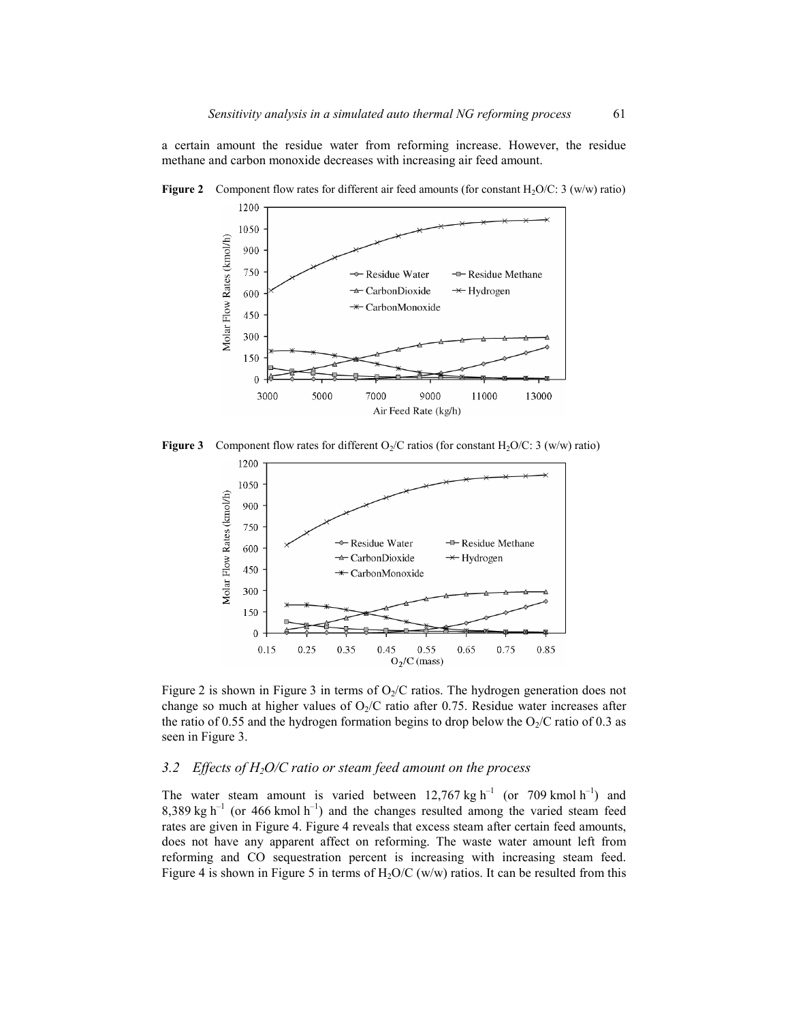a certain amount the residue water from reforming increase. However, the residue methane and carbon monoxide decreases with increasing air feed amount.



**Figure 2** Component flow rates for different air feed amounts (for constant H<sub>2</sub>O/C: 3 (w/w) ratio)

**Figure 3** Component flow rates for different  $O_2/C$  ratios (for constant  $H_2O/C$ : 3 (w/w) ratio)



Figure 2 is shown in Figure 3 in terms of  $O<sub>2</sub>/C$  ratios. The hydrogen generation does not change so much at higher values of  $O<sub>2</sub>/C$  ratio after 0.75. Residue water increases after the ratio of 0.55 and the hydrogen formation begins to drop below the  $O_2/C$  ratio of 0.3 as seen in Figure 3.

## *3.2 Effects of H2O/C ratio or steam feed amount on the process*

The water steam amount is varied between  $12,767$  kg h<sup>-1</sup> (or 709 kmol h<sup>-1</sup>) and  $8,389 \text{ kg h}^{-1}$  (or 466 kmol h<sup>-1</sup>) and the changes resulted among the varied steam feed rates are given in Figure 4. Figure 4 reveals that excess steam after certain feed amounts, does not have any apparent affect on reforming. The waste water amount left from reforming and CO sequestration percent is increasing with increasing steam feed. Figure 4 is shown in Figure 5 in terms of  $H_2O/C$  (w/w) ratios. It can be resulted from this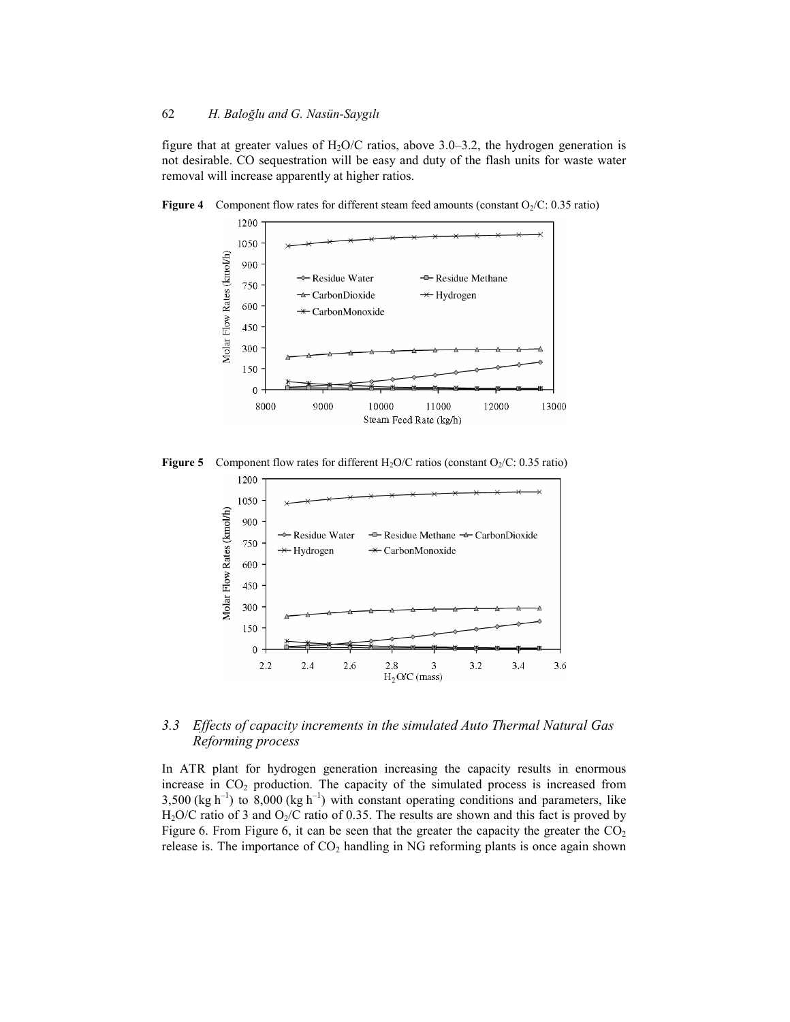figure that at greater values of  $H_2O/C$  ratios, above 3.0–3.2, the hydrogen generation is not desirable. CO sequestration will be easy and duty of the flash units for waste water removal will increase apparently at higher ratios.



**Figure 4** Component flow rates for different steam feed amounts (constant  $O_2/C$ : 0.35 ratio)

**Figure 5** Component flow rates for different H<sub>2</sub>O/C ratios (constant  $O_2/C$ : 0.35 ratio)



### *3.3 Effects of capacity increments in the simulated Auto Thermal Natural Gas Reforming process*

In ATR plant for hydrogen generation increasing the capacity results in enormous increase in  $CO<sub>2</sub>$  production. The capacity of the simulated process is increased from 3,500 (kg h<sup>-1</sup>) to 8,000 (kg h<sup>-1</sup>) with constant operating conditions and parameters, like H<sub>2</sub>O/C ratio of 3 and O<sub>2</sub>/C ratio of 0.35. The results are shown and this fact is proved by Figure 6. From Figure 6, it can be seen that the greater the capacity the greater the  $CO<sub>2</sub>$ release is. The importance of  $CO<sub>2</sub>$  handling in NG reforming plants is once again shown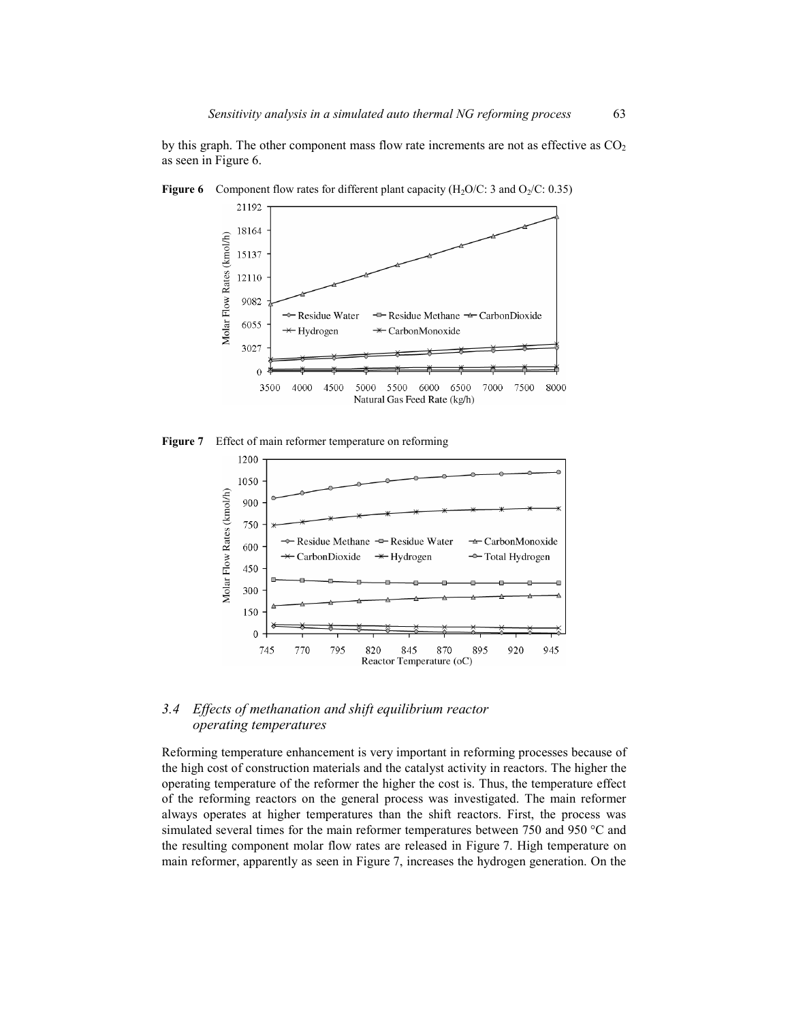by this graph. The other component mass flow rate increments are not as effective as  $CO<sub>2</sub>$ as seen in Figure 6.



**Figure 6** Component flow rates for different plant capacity ( $H_2O/C$ : 3 and  $O_2/C$ : 0.35)

**Figure 7** Effect of main reformer temperature on reforming



### *3.4 Effects of methanation and shift equilibrium reactor operating temperatures*

Reforming temperature enhancement is very important in reforming processes because of the high cost of construction materials and the catalyst activity in reactors. The higher the operating temperature of the reformer the higher the cost is. Thus, the temperature effect of the reforming reactors on the general process was investigated. The main reformer always operates at higher temperatures than the shift reactors. First, the process was simulated several times for the main reformer temperatures between 750 and 950  $\degree$ C and the resulting component molar flow rates are released in Figure 7. High temperature on main reformer, apparently as seen in Figure 7, increases the hydrogen generation. On the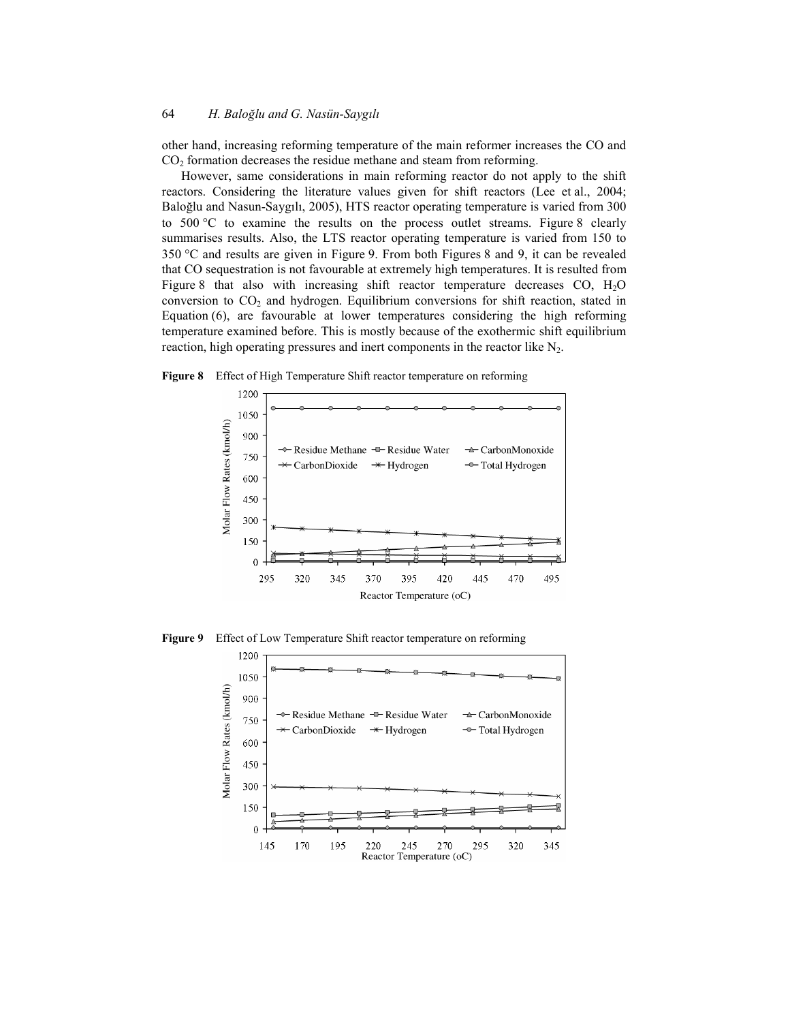other hand, increasing reforming temperature of the main reformer increases the CO and CO<sub>2</sub> formation decreases the residue methane and steam from reforming.

However, same considerations in main reforming reactor do not apply to the shift reactors. Considering the literature values given for shift reactors (Lee et al., 2004; Baloğlu and Nasun-Saygılı, 2005), HTS reactor operating temperature is varied from 300 to  $500 \degree C$  to examine the results on the process outlet streams. Figure 8 clearly summarises results. Also, the LTS reactor operating temperature is varied from 150 to  $350 \degree C$  and results are given in Figure 9. From both Figures 8 and 9, it can be revealed that CO sequestration is not favourable at extremely high temperatures. It is resulted from Figure 8 that also with increasing shift reactor temperature decreases CO, H2O conversion to  $CO<sub>2</sub>$  and hydrogen. Equilibrium conversions for shift reaction, stated in Equation (6), are favourable at lower temperatures considering the high reforming temperature examined before. This is mostly because of the exothermic shift equilibrium reaction, high operating pressures and inert components in the reactor like  $N_2$ .





**Figure 9** Effect of Low Temperature Shift reactor temperature on reforming

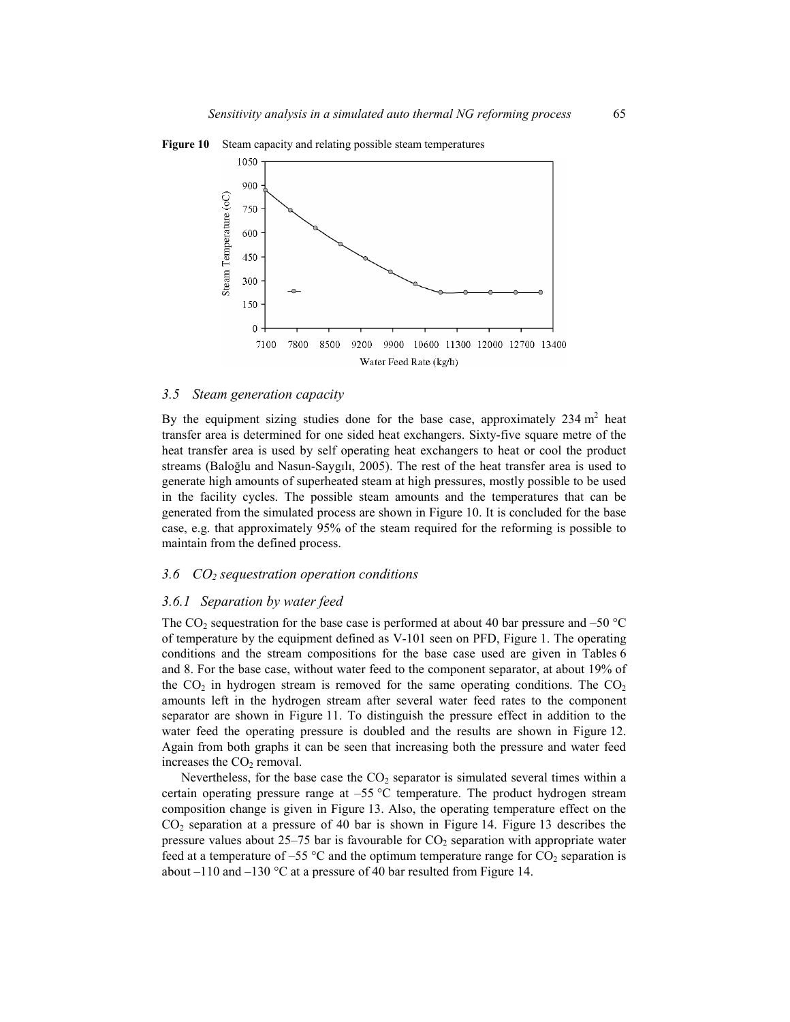

**Figure 10** Steam capacity and relating possible steam temperatures

#### *3.5 Steam generation capacity*

By the equipment sizing studies done for the base case, approximately  $234 \text{ m}^2$  heat transfer area is determined for one sided heat exchangers. Sixty-five square metre of the heat transfer area is used by self operating heat exchangers to heat or cool the product streams (Baloğlu and Nasun-Saygılı, 2005). The rest of the heat transfer area is used to generate high amounts of superheated steam at high pressures, mostly possible to be used in the facility cycles. The possible steam amounts and the temperatures that can be generated from the simulated process are shown in Figure 10. It is concluded for the base case, e.g. that approximately 95% of the steam required for the reforming is possible to maintain from the defined process.

#### *3.6 CO2 sequestration operation conditions*

#### *3.6.1 Separation by water feed*

The CO<sub>2</sub> sequestration for the base case is performed at about 40 bar pressure and –50  $^{\circ}$ C of temperature by the equipment defined as V-101 seen on PFD, Figure 1. The operating conditions and the stream compositions for the base case used are given in Tables 6 and 8. For the base case, without water feed to the component separator, at about 19% of the  $CO<sub>2</sub>$  in hydrogen stream is removed for the same operating conditions. The  $CO<sub>2</sub>$ amounts left in the hydrogen stream after several water feed rates to the component separator are shown in Figure 11. To distinguish the pressure effect in addition to the water feed the operating pressure is doubled and the results are shown in Figure 12. Again from both graphs it can be seen that increasing both the pressure and water feed increases the  $CO<sub>2</sub>$  removal.

Nevertheless, for the base case the  $CO<sub>2</sub>$  separator is simulated several times within a certain operating pressure range at  $-55$  °C temperature. The product hydrogen stream composition change is given in Figure 13. Also, the operating temperature effect on the CO2 separation at a pressure of 40 bar is shown in Figure 14. Figure 13 describes the pressure values about  $25-75$  bar is favourable for  $CO<sub>2</sub>$  separation with appropriate water feed at a temperature of –55  $\degree$ C and the optimum temperature range for CO<sub>2</sub> separation is about –110 and –130  $\degree$ C at a pressure of 40 bar resulted from Figure 14.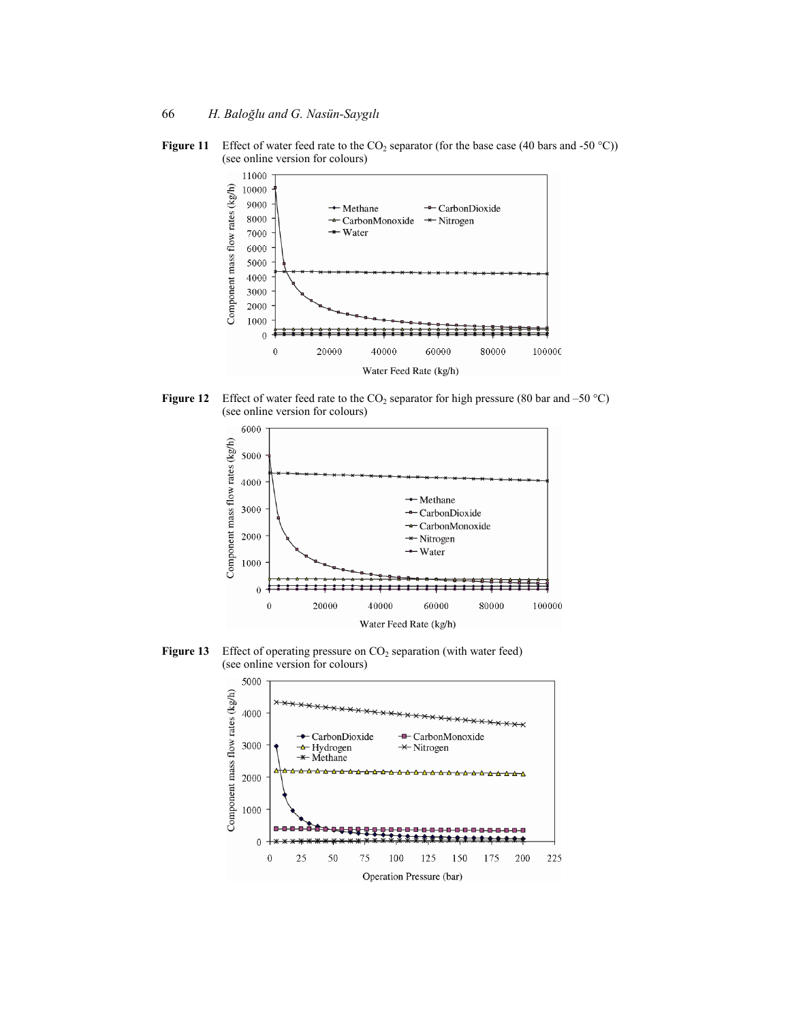**Figure 11** Effect of water feed rate to the  $CO_2$  separator (for the base case (40 bars and -50 °C)) (see online version for colours)



**Figure 12** Effect of water feed rate to the  $CO_2$  separator for high pressure (80 bar and –50 °C) (see online version for colours)



**Figure 13** Effect of operating pressure on CO<sub>2</sub> separation (with water feed) (see online version for colours)

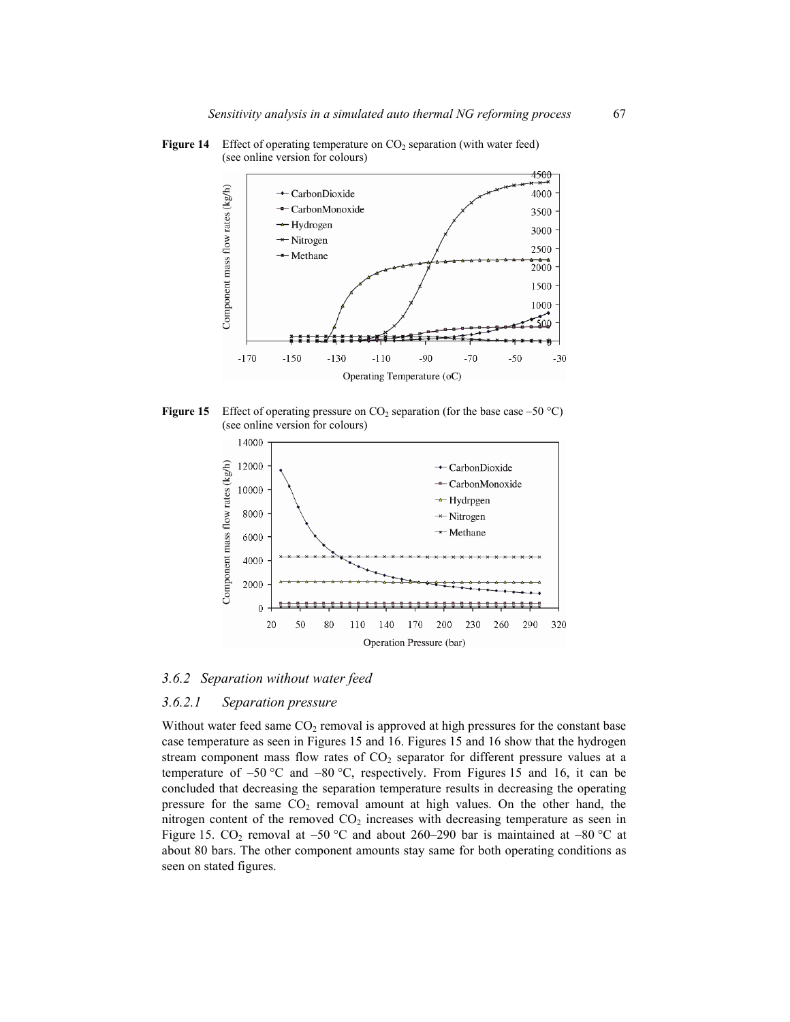

**Figure 14** Effect of operating temperature on CO<sub>2</sub> separation (with water feed) (see online version for colours)





*3.6.2 Separation without water feed* 

## *3.6.2.1 Separation pressure*

Without water feed same  $CO<sub>2</sub>$  removal is approved at high pressures for the constant base case temperature as seen in Figures 15 and 16. Figures 15 and 16 show that the hydrogen stream component mass flow rates of  $CO<sub>2</sub>$  separator for different pressure values at a temperature of  $-50$  °C and  $-80$  °C, respectively. From Figures 15 and 16, it can be concluded that decreasing the separation temperature results in decreasing the operating pressure for the same  $CO<sub>2</sub>$  removal amount at high values. On the other hand, the nitrogen content of the removed  $CO<sub>2</sub>$  increases with decreasing temperature as seen in Figure 15. CO<sub>2</sub> removal at –50 °C and about 260–290 bar is maintained at –80 °C at about 80 bars. The other component amounts stay same for both operating conditions as seen on stated figures.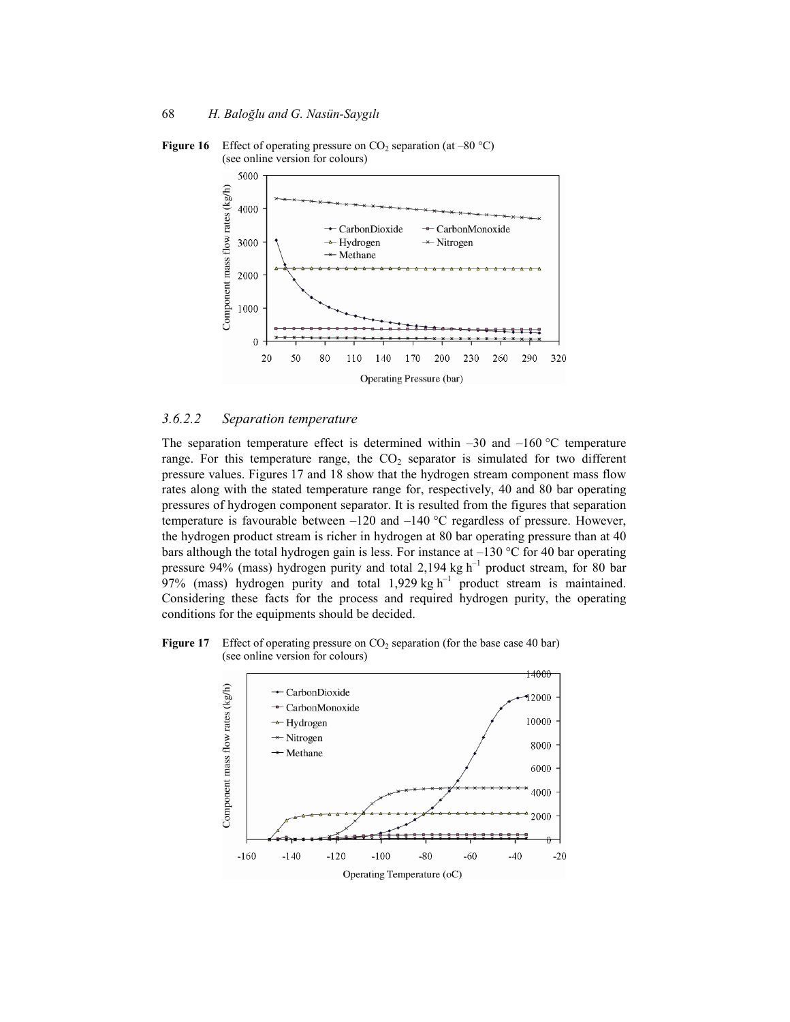

**Figure 16** Effect of operating pressure on  $CO_2$  separation (at –80 °C) (see online version for colours)

### *3.6.2.2 Separation temperature*

The separation temperature effect is determined within  $-30$  and  $-160$  °C temperature range. For this temperature range, the  $CO<sub>2</sub>$  separator is simulated for two different pressure values. Figures 17 and 18 show that the hydrogen stream component mass flow rates along with the stated temperature range for, respectively, 40 and 80 bar operating pressures of hydrogen component separator. It is resulted from the figures that separation temperature is favourable between  $-120$  and  $-140$  °C regardless of pressure. However, the hydrogen product stream is richer in hydrogen at 80 bar operating pressure than at 40 bars although the total hydrogen gain is less. For instance at  $-130$  °C for 40 bar operating pressure 94% (mass) hydrogen purity and total 2,194 kg  $h^{-1}$  product stream, for 80 bar 97% (mass) hydrogen purity and total  $1,929$  kg h<sup>-1</sup> product stream is maintained. Considering these facts for the process and required hydrogen purity, the operating conditions for the equipments should be decided.

**Figure 17** Effect of operating pressure on  $CO_2$  separation (for the base case 40 bar) (see online version for colours)

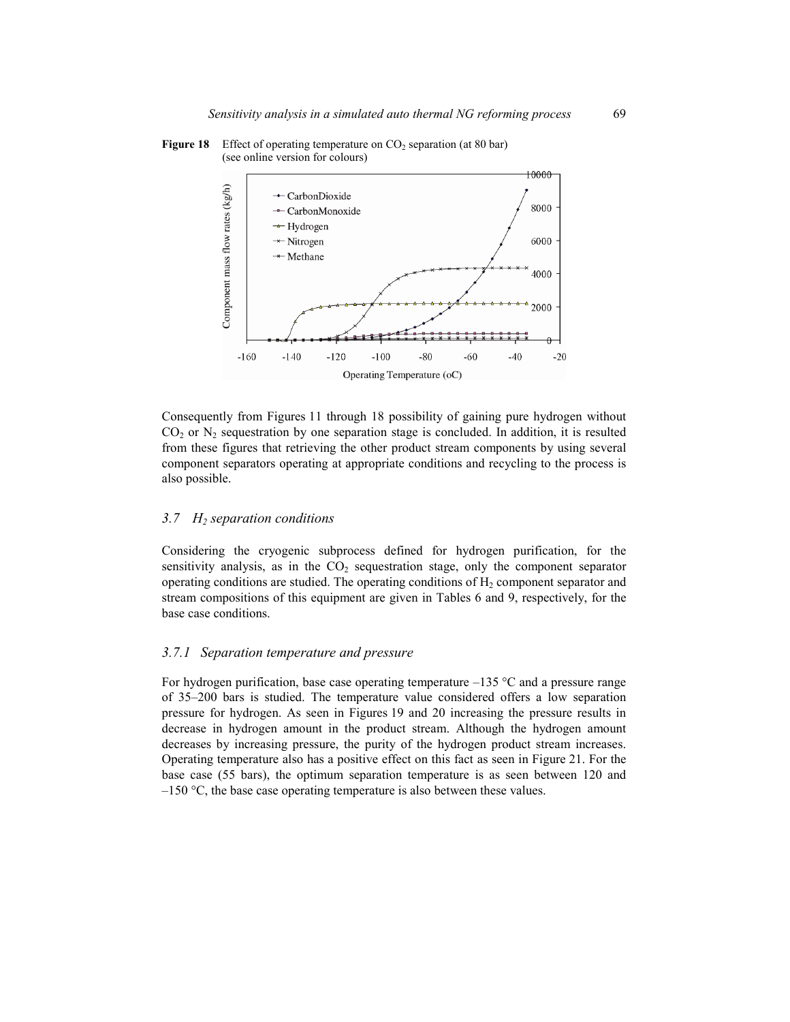

#### **Figure 18** Effect of operating temperature on CO<sub>2</sub> separation (at 80 bar) (see online version for colours)

Consequently from Figures 11 through 18 possibility of gaining pure hydrogen without  $CO<sub>2</sub>$  or N<sub>2</sub> sequestration by one separation stage is concluded. In addition, it is resulted from these figures that retrieving the other product stream components by using several component separators operating at appropriate conditions and recycling to the process is also possible.

### *3.7 H2 separation conditions*

Considering the cryogenic subprocess defined for hydrogen purification, for the sensitivity analysis, as in the  $CO<sub>2</sub>$  sequestration stage, only the component separator operating conditions are studied. The operating conditions of  $H<sub>2</sub>$  component separator and stream compositions of this equipment are given in Tables 6 and 9, respectively, for the base case conditions.

#### *3.7.1 Separation temperature and pressure*

For hydrogen purification, base case operating temperature  $-135$  °C and a pressure range of 35–200 bars is studied. The temperature value considered offers a low separation pressure for hydrogen. As seen in Figures 19 and 20 increasing the pressure results in decrease in hydrogen amount in the product stream. Although the hydrogen amount decreases by increasing pressure, the purity of the hydrogen product stream increases. Operating temperature also has a positive effect on this fact as seen in Figure 21. For the base case (55 bars), the optimum separation temperature is as seen between 120 and  $-150$  °C, the base case operating temperature is also between these values.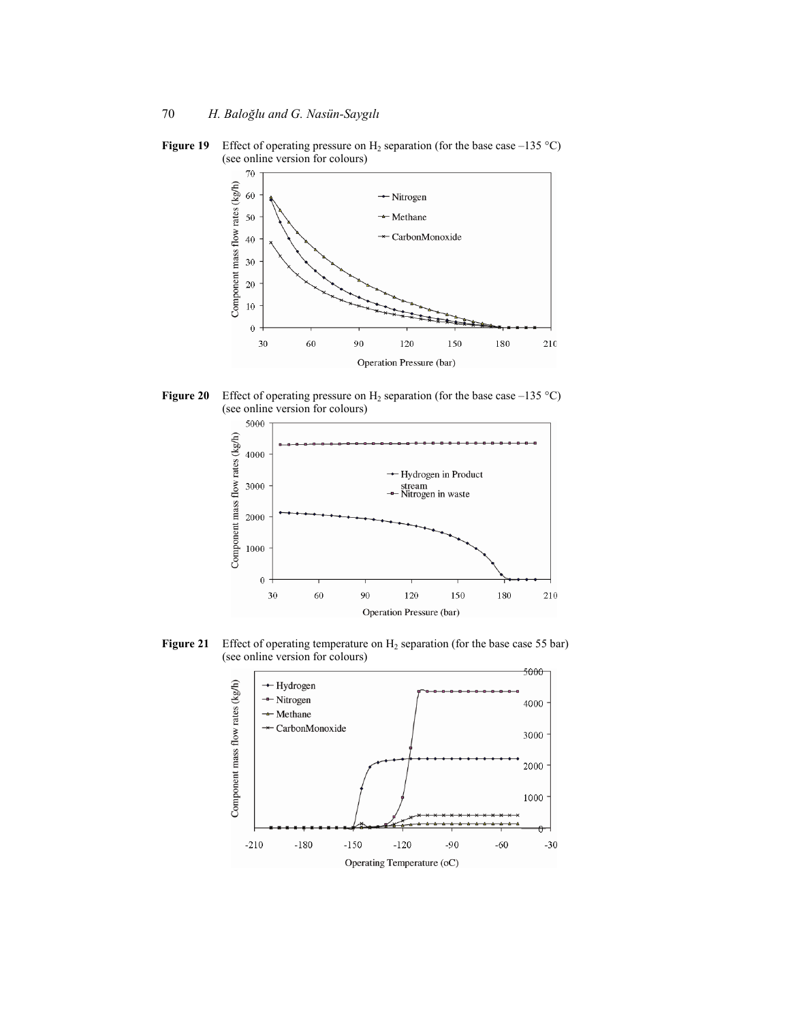



**Figure 20** Effect of operating pressure on  $H_2$  separation (for the base case –135 °C) (see online version for colours)



**Figure 21** Effect of operating temperature on H<sub>2</sub> separation (for the base case 55 bar) (see online version for colours)